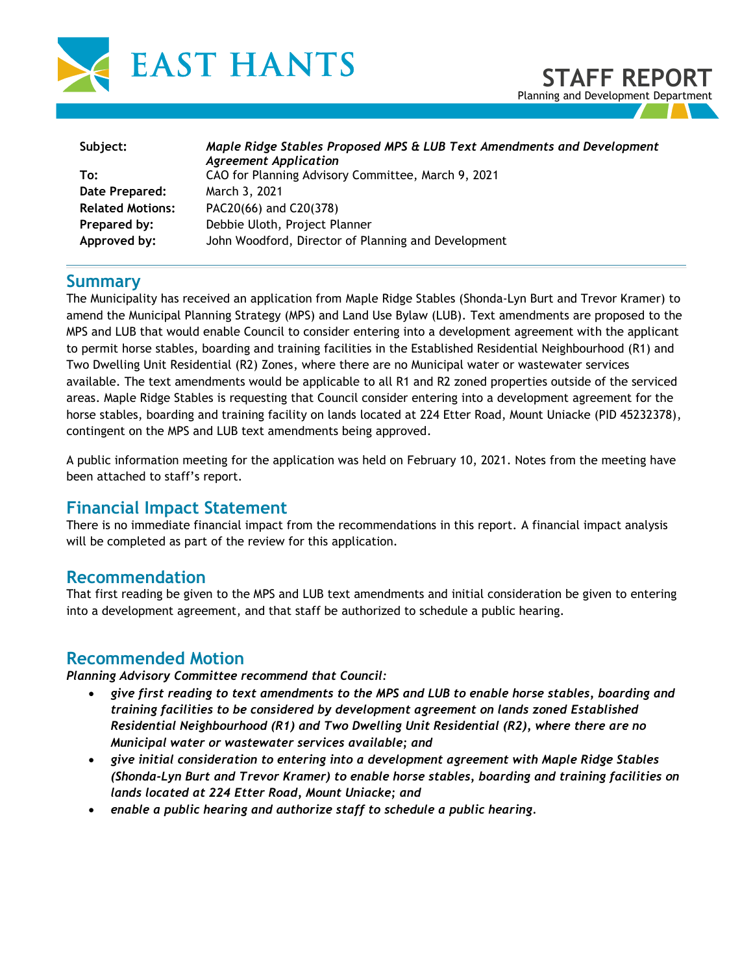

**STAFF REPORT** Planning and Development Department

| Subject:                | Maple Ridge Stables Proposed MPS & LUB Text Amendments and Development<br><b>Agreement Application</b> |
|-------------------------|--------------------------------------------------------------------------------------------------------|
| To:                     | CAO for Planning Advisory Committee, March 9, 2021                                                     |
| Date Prepared:          | March 3, 2021                                                                                          |
| <b>Related Motions:</b> | PAC20(66) and C20(378)                                                                                 |
| Prepared by:            | Debbie Uloth, Project Planner                                                                          |
| Approved by:            | John Woodford, Director of Planning and Development                                                    |

## **Summary**

The Municipality has received an application from Maple Ridge Stables (Shonda-Lyn Burt and Trevor Kramer) to amend the Municipal Planning Strategy (MPS) and Land Use Bylaw (LUB). Text amendments are proposed to the MPS and LUB that would enable Council to consider entering into a development agreement with the applicant to permit horse stables, boarding and training facilities in the Established Residential Neighbourhood (R1) and Two Dwelling Unit Residential (R2) Zones, where there are no Municipal water or wastewater services available. The text amendments would be applicable to all R1 and R2 zoned properties outside of the serviced areas. Maple Ridge Stables is requesting that Council consider entering into a development agreement for the horse stables, boarding and training facility on lands located at 224 Etter Road, Mount Uniacke (PID 45232378), contingent on the MPS and LUB text amendments being approved.

A public information meeting for the application was held on February 10, 2021. Notes from the meeting have been attached to staff's report.

### **Financial Impact Statement**

There is no immediate financial impact from the recommendations in this report. A financial impact analysis will be completed as part of the review for this application.

## **Recommendation**

That first reading be given to the MPS and LUB text amendments and initial consideration be given to entering into a development agreement, and that staff be authorized to schedule a public hearing.

### **Recommended Motion**

*Planning Advisory Committee recommend that Council:* 

- *give first reading to text amendments to the MPS and LUB to enable horse stables, boarding and training facilities to be considered by development agreement on lands zoned Established Residential Neighbourhood (R1) and Two Dwelling Unit Residential (R2), where there are no Municipal water or wastewater services available; and*
- *give initial consideration to entering into a development agreement with Maple Ridge Stables (Shonda-Lyn Burt and Trevor Kramer) to enable horse stables, boarding and training facilities on lands located at 224 Etter Road, Mount Uniacke; and*
- *enable a public hearing and authorize staff to schedule a public hearing.*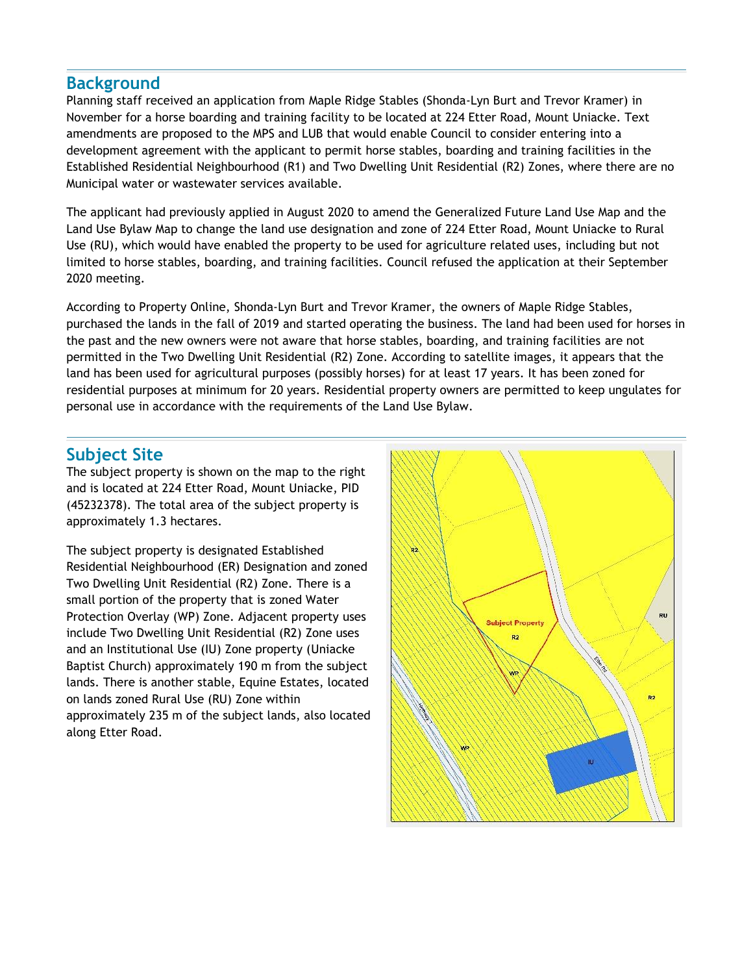## **Background**

Planning staff received an application from Maple Ridge Stables (Shonda-Lyn Burt and Trevor Kramer) in November for a horse boarding and training facility to be located at 224 Etter Road, Mount Uniacke. Text amendments are proposed to the MPS and LUB that would enable Council to consider entering into a development agreement with the applicant to permit horse stables, boarding and training facilities in the Established Residential Neighbourhood (R1) and Two Dwelling Unit Residential (R2) Zones, where there are no Municipal water or wastewater services available.

The applicant had previously applied in August 2020 to amend the Generalized Future Land Use Map and the Land Use Bylaw Map to change the land use designation and zone of 224 Etter Road, Mount Uniacke to Rural Use (RU), which would have enabled the property to be used for agriculture related uses, including but not limited to horse stables, boarding, and training facilities. Council refused the application at their September 2020 meeting.

According to Property Online, Shonda-Lyn Burt and Trevor Kramer, the owners of Maple Ridge Stables, purchased the lands in the fall of 2019 and started operating the business. The land had been used for horses in the past and the new owners were not aware that horse stables, boarding, and training facilities are not permitted in the Two Dwelling Unit Residential (R2) Zone. According to satellite images, it appears that the land has been used for agricultural purposes (possibly horses) for at least 17 years. It has been zoned for residential purposes at minimum for 20 years. Residential property owners are permitted to keep ungulates for personal use in accordance with the requirements of the Land Use Bylaw.

## **Subject Site**

The subject property is shown on the map to the right and is located at 224 Etter Road, Mount Uniacke, PID (45232378). The total area of the subject property is approximately 1.3 hectares.

The subject property is designated Established Residential Neighbourhood (ER) Designation and zoned Two Dwelling Unit Residential (R2) Zone. There is a small portion of the property that is zoned Water Protection Overlay (WP) Zone. Adjacent property uses include Two Dwelling Unit Residential (R2) Zone uses and an Institutional Use (IU) Zone property (Uniacke Baptist Church) approximately 190 m from the subject lands. There is another stable, Equine Estates, located on lands zoned Rural Use (RU) Zone within approximately 235 m of the subject lands, also located along Etter Road.

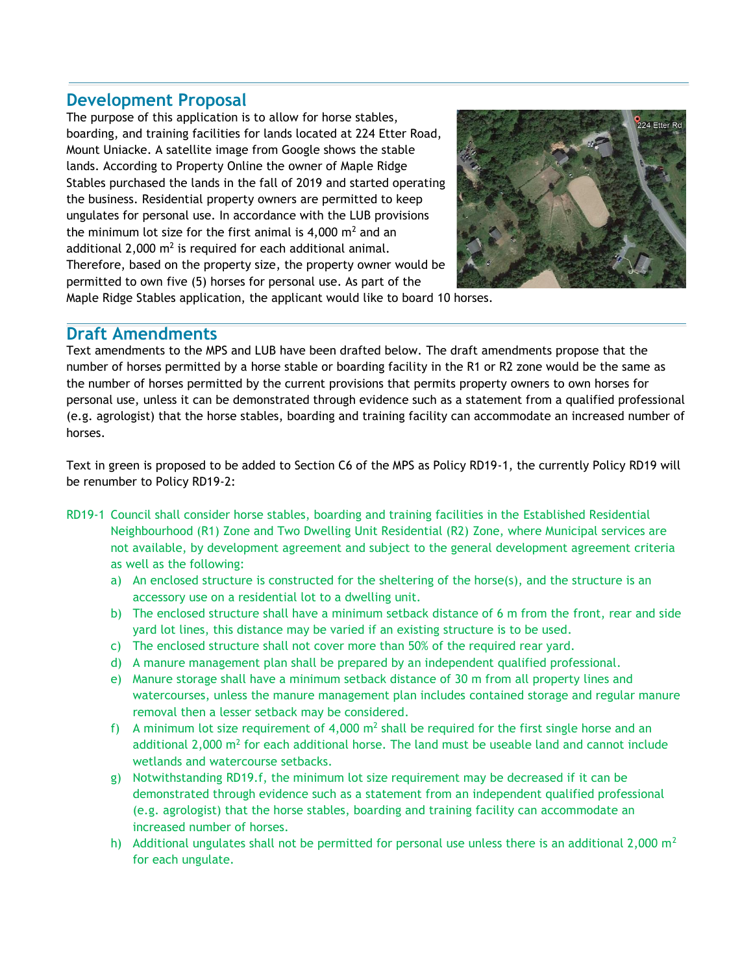## **Development Proposal**

The purpose of this application is to allow for horse stables, boarding, and training facilities for lands located at 224 Etter Road, Mount Uniacke. A satellite image from Google shows the stable lands. According to Property Online the owner of Maple Ridge Stables purchased the lands in the fall of 2019 and started operating the business. Residential property owners are permitted to keep ungulates for personal use. In accordance with the LUB provisions the minimum lot size for the first animal is 4,000  $m<sup>2</sup>$  and an additional 2,000  $m^2$  is required for each additional animal. Therefore, based on the property size, the property owner would be permitted to own five (5) horses for personal use. As part of the



Maple Ridge Stables application, the applicant would like to board 10 horses.

### **Draft Amendments**

Text amendments to the MPS and LUB have been drafted below. The draft amendments propose that the number of horses permitted by a horse stable or boarding facility in the R1 or R2 zone would be the same as the number of horses permitted by the current provisions that permits property owners to own horses for personal use, unless it can be demonstrated through evidence such as a statement from a qualified professional (e.g. agrologist) that the horse stables, boarding and training facility can accommodate an increased number of horses.

Text in green is proposed to be added to Section C6 of the MPS as Policy RD19-1, the currently Policy RD19 will be renumber to Policy RD19-2:

- RD19-1 Council shall consider horse stables, boarding and training facilities in the Established Residential Neighbourhood (R1) Zone and Two Dwelling Unit Residential (R2) Zone, where Municipal services are not available, by development agreement and subject to the general development agreement criteria as well as the following:
	- a) An enclosed structure is constructed for the sheltering of the horse(s), and the structure is an accessory use on a residential lot to a dwelling unit.
	- b) The enclosed structure shall have a minimum setback distance of 6 m from the front, rear and side yard lot lines, this distance may be varied if an existing structure is to be used.
	- c) The enclosed structure shall not cover more than 50% of the required rear yard.
	- d) A manure management plan shall be prepared by an independent qualified professional.
	- e) Manure storage shall have a minimum setback distance of 30 m from all property lines and watercourses, unless the manure management plan includes contained storage and regular manure removal then a lesser setback may be considered.
	- f) A minimum lot size requirement of 4,000  $m^2$  shall be required for the first single horse and an additional 2,000  $\text{m}^2$  for each additional horse. The land must be useable land and cannot include wetlands and watercourse setbacks.
	- g) Notwithstanding RD19.f, the minimum lot size requirement may be decreased if it can be demonstrated through evidence such as a statement from an independent qualified professional (e.g. agrologist) that the horse stables, boarding and training facility can accommodate an increased number of horses.
	- h) Additional ungulates shall not be permitted for personal use unless there is an additional 2,000  $m<sup>2</sup>$ for each ungulate.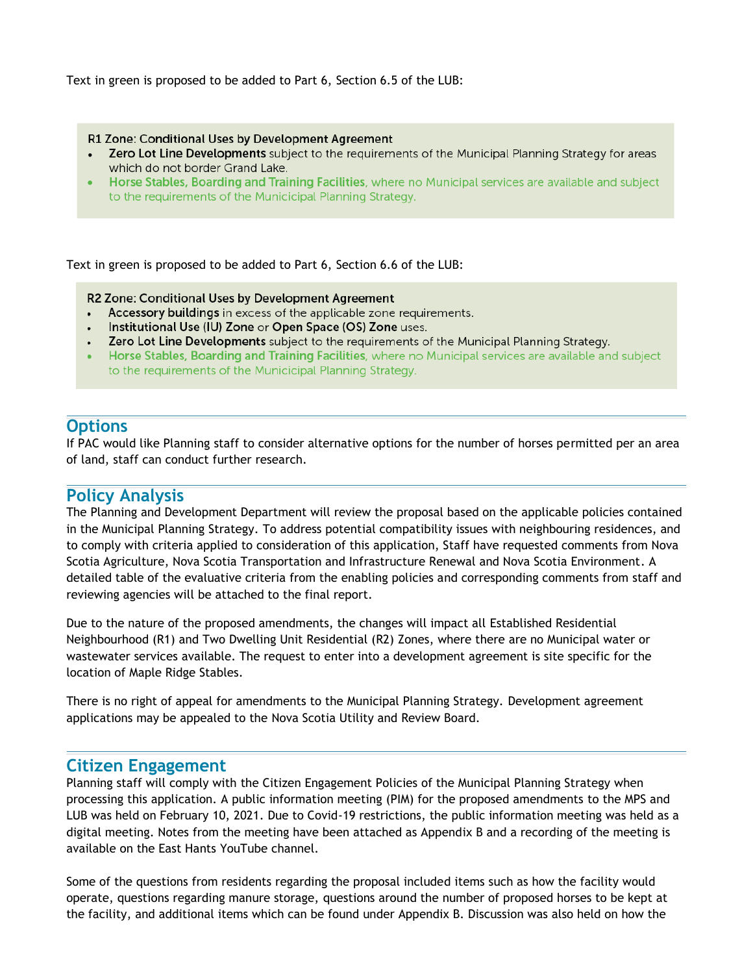Text in green is proposed to be added to Part 6, Section 6.5 of the LUB:

R1 Zone: Conditional Uses by Development Agreement

- Zero Lot Line Developments subject to the requirements of the Municipal Planning Strategy for areas which do not border Grand Lake.
- Horse Stables, Boarding and Training Facilities, where no Municipal services are available and subject to the requirements of the Municicipal Planning Strategy.

Text in green is proposed to be added to Part 6, Section 6.6 of the LUB:

R2 Zone: Conditional Uses by Development Agreement

- Accessory buildings in excess of the applicable zone requirements.
- Institutional Use (IU) Zone or Open Space (OS) Zone uses.
- Zero Lot Line Developments subject to the requirements of the Municipal Planning Strategy.
- Horse Stables, Boarding and Training Facilities, where no Municipal services are available and subject to the requirements of the Municicipal Planning Strategy.

#### **Options**

If PAC would like Planning staff to consider alternative options for the number of horses permitted per an area of land, staff can conduct further research.

#### **Policy Analysis**

The Planning and Development Department will review the proposal based on the applicable policies contained in the Municipal Planning Strategy. To address potential compatibility issues with neighbouring residences, and to comply with criteria applied to consideration of this application, Staff have requested comments from Nova Scotia Agriculture, Nova Scotia Transportation and Infrastructure Renewal and Nova Scotia Environment. A detailed table of the evaluative criteria from the enabling policies and corresponding comments from staff and reviewing agencies will be attached to the final report.

Due to the nature of the proposed amendments, the changes will impact all Established Residential Neighbourhood (R1) and Two Dwelling Unit Residential (R2) Zones, where there are no Municipal water or wastewater services available. The request to enter into a development agreement is site specific for the location of Maple Ridge Stables.

There is no right of appeal for amendments to the Municipal Planning Strategy. Development agreement applications may be appealed to the Nova Scotia Utility and Review Board.

#### **Citizen Engagement**

Planning staff will comply with the Citizen Engagement Policies of the Municipal Planning Strategy when processing this application. A public information meeting (PIM) for the proposed amendments to the MPS and LUB was held on February 10, 2021. Due to Covid-19 restrictions, the public information meeting was held as a digital meeting. Notes from the meeting have been attached as Appendix B and a recording of the meeting is available on the East Hants YouTube channel.

Some of the questions from residents regarding the proposal included items such as how the facility would operate, questions regarding manure storage, questions around the number of proposed horses to be kept at the facility, and additional items which can be found under Appendix B. Discussion was also held on how the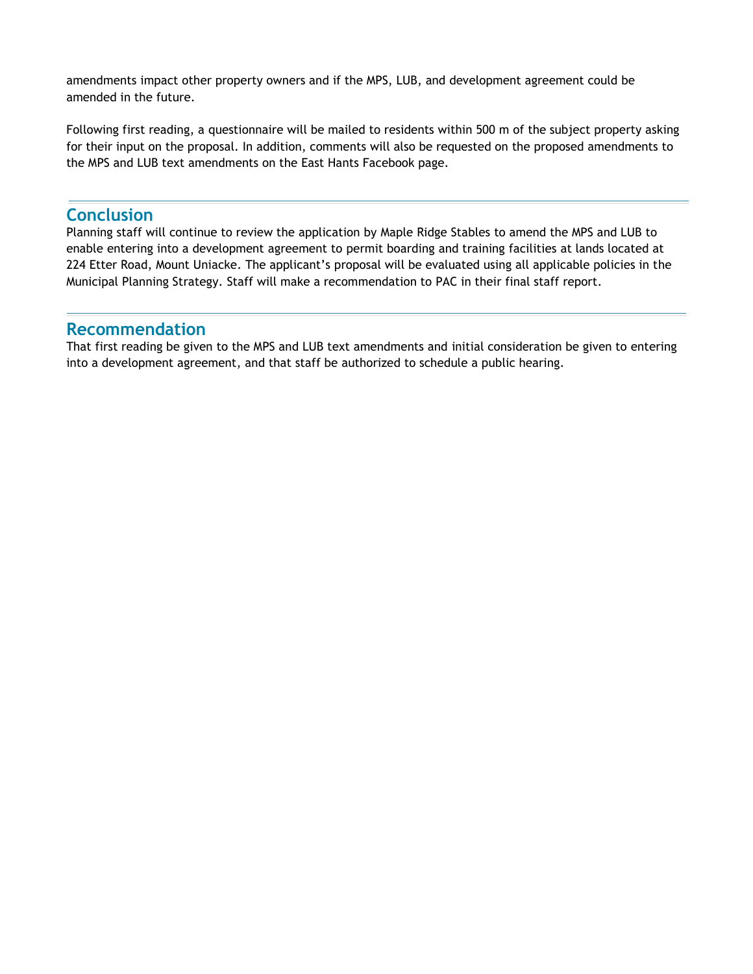amendments impact other property owners and if the MPS, LUB, and development agreement could be amended in the future.

Following first reading, a questionnaire will be mailed to residents within 500 m of the subject property asking for their input on the proposal. In addition, comments will also be requested on the proposed amendments to the MPS and LUB text amendments on the East Hants Facebook page.

#### **Conclusion**

Planning staff will continue to review the application by Maple Ridge Stables to amend the MPS and LUB to enable entering into a development agreement to permit boarding and training facilities at lands located at 224 Etter Road, Mount Uniacke. The applicant's proposal will be evaluated using all applicable policies in the Municipal Planning Strategy. Staff will make a recommendation to PAC in their final staff report.

#### **Recommendation**

That first reading be given to the MPS and LUB text amendments and initial consideration be given to entering into a development agreement, and that staff be authorized to schedule a public hearing.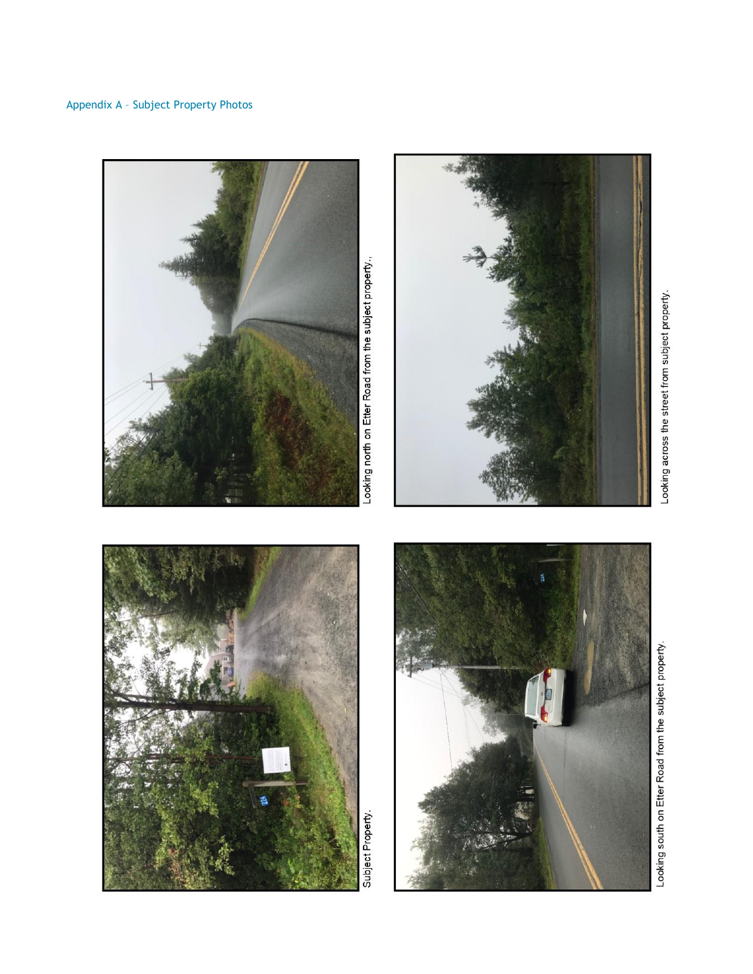





Looking south on Etter Road from the subject property.



Looking across the street from subject property.